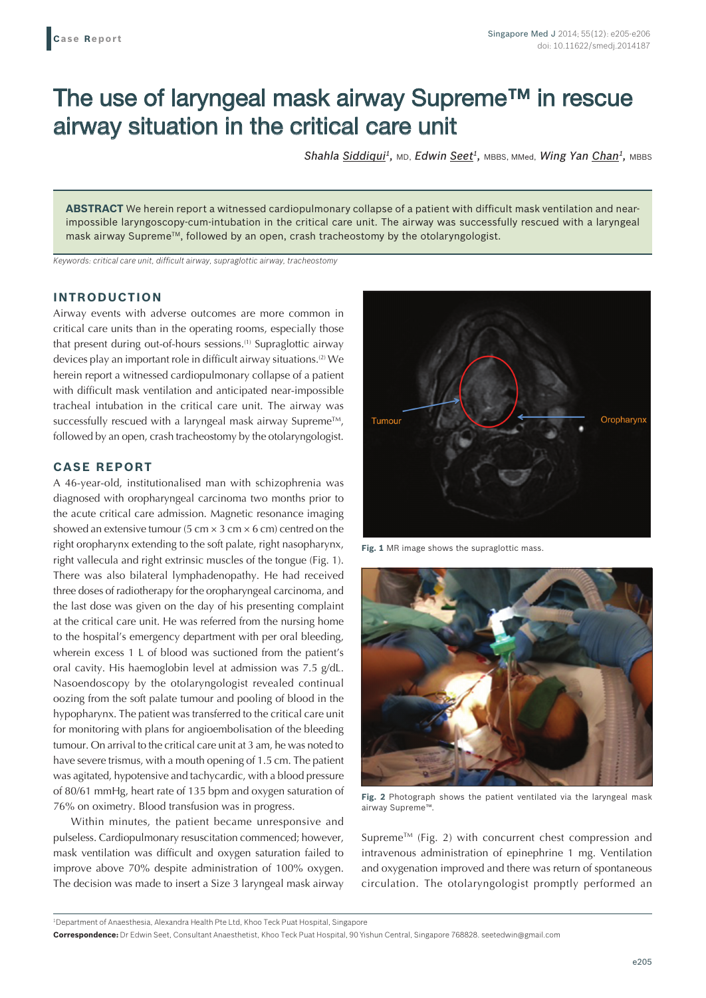# The use of laryngeal mask airway Supreme™ in rescue airway situation in the critical care unit

Shahla Siddiqui<sup>1</sup>, MD, Edwin Seet<sup>1</sup>, MBBS, MMed, Wing Yan Chan<sup>1</sup>, MBBS

**ABSTRACT** We herein report a witnessed cardiopulmonary collapse of a patient with difficult mask ventilation and nearimpossible laryngoscopy-cum-intubation in the critical care unit. The airway was successfully rescued with a laryngeal mask airway SupremeTM, followed by an open, crash tracheostomy by the otolaryngologist.

*Keywords: critical care unit, difficult airway, supraglottic airway, tracheostomy*

## **INTRODUCTION**

Airway events with adverse outcomes are more common in critical care units than in the operating rooms, especially those that present during out-of-hours sessions.<sup>(1)</sup> Supraglottic airway devices play an important role in difficult airway situations.(2) We herein report a witnessed cardiopulmonary collapse of a patient with difficult mask ventilation and anticipated near-impossible tracheal intubation in the critical care unit. The airway was successfully rescued with a laryngeal mask airway Supreme<sup>TM</sup>, followed by an open, crash tracheostomy by the otolaryngologist.

### **CASE REPORT**

A 46-year-old, institutionalised man with schizophrenia was diagnosed with oropharyngeal carcinoma two months prior to the acute critical care admission. Magnetic resonance imaging showed an extensive tumour (5 cm  $\times$  3 cm  $\times$  6 cm) centred on the right oropharynx extending to the soft palate, right nasopharynx, right vallecula and right extrinsic muscles of the tongue (Fig. 1). There was also bilateral lymphadenopathy. He had received three doses of radiotherapy for the oropharyngeal carcinoma, and the last dose was given on the day of his presenting complaint at the critical care unit. He was referred from the nursing home to the hospital's emergency department with per oral bleeding, wherein excess 1 L of blood was suctioned from the patient's oral cavity. His haemoglobin level at admission was 7.5 g/dL. Nasoendoscopy by the otolaryngologist revealed continual oozing from the soft palate tumour and pooling of blood in the hypopharynx. The patient was transferred to the critical care unit for monitoring with plans for angioembolisation of the bleeding tumour. On arrival to the critical care unit at 3 am, he was noted to have severe trismus, with a mouth opening of 1.5 cm. The patient was agitated, hypotensive and tachycardic, with a blood pressure of 80/61 mmHg, heart rate of 135 bpm and oxygen saturation of 76% on oximetry. Blood transfusion was in progress.

Within minutes, the patient became unresponsive and pulseless. Cardiopulmonary resuscitation commenced; however, mask ventilation was difficult and oxygen saturation failed to improve above 70% despite administration of 100% oxygen. The decision was made to insert a Size 3 laryngeal mask airway



**Fig. 1** MR image shows the supraglottic mass.



**Fig. 2** Photograph shows the patient ventilated via the laryngeal mask airway Supreme™.

Supreme<sup>TM</sup> (Fig. 2) with concurrent chest compression and intravenous administration of epinephrine 1 mg. Ventilation and oxygenation improved and there was return of spontaneous circulation. The otolaryngologist promptly performed an

1 Department of Anaesthesia, Alexandra Health Pte Ltd, Khoo Teck Puat Hospital, Singapore

**Correspondence:** Dr Edwin Seet, Consultant Anaesthetist, Khoo Teck Puat Hospital, 90 Yishun Central, Singapore 768828. seetedwin@gmail.com